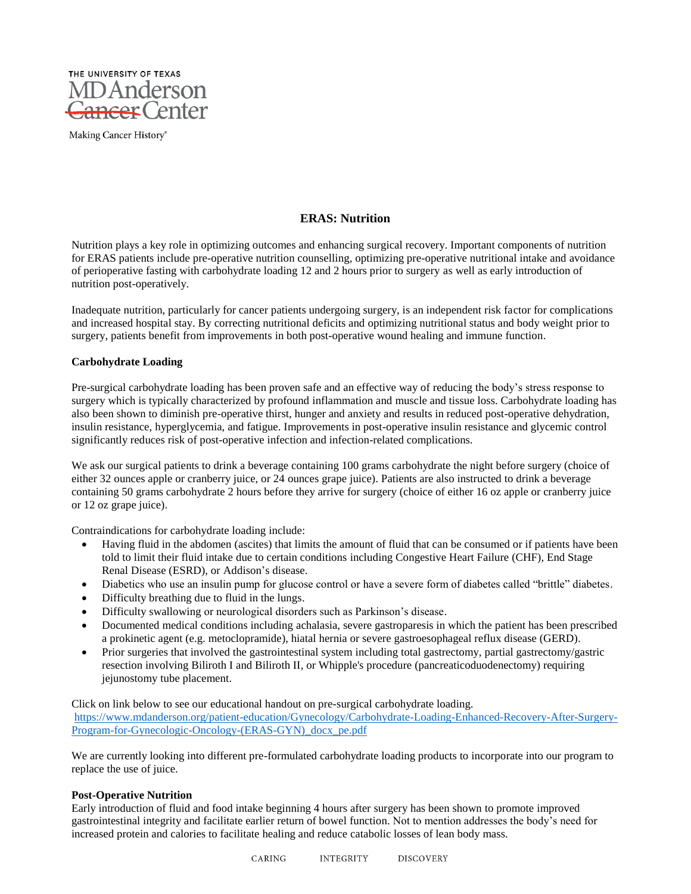

Making Cancer History®

## **ERAS: Nutrition**

Nutrition plays a key role in optimizing outcomes and enhancing surgical recovery. Important components of nutrition for ERAS patients include pre-operative nutrition counselling, optimizing pre-operative nutritional intake and avoidance of perioperative fasting with carbohydrate loading 12 and 2 hours prior to surgery as well as early introduction of nutrition post-operatively.

Inadequate nutrition, particularly for cancer patients undergoing surgery, is an independent risk factor for complications and increased hospital stay. By correcting nutritional deficits and optimizing nutritional status and body weight prior to surgery, patients benefit from improvements in both post-operative wound healing and immune function.

## **Carbohydrate Loading**

Pre-surgical carbohydrate loading has been proven safe and an effective way of reducing the body's stress response to surgery which is typically characterized by profound inflammation and muscle and tissue loss. Carbohydrate loading has also been shown to diminish pre-operative thirst, hunger and anxiety and results in reduced post-operative dehydration, insulin resistance, hyperglycemia, and fatigue. Improvements in post-operative insulin resistance and glycemic control significantly reduces risk of post-operative infection and infection-related complications.

We ask our surgical patients to drink a beverage containing 100 grams carbohydrate the night before surgery (choice of either 32 ounces apple or cranberry juice, or 24 ounces grape juice). Patients are also instructed to drink a beverage containing 50 grams carbohydrate 2 hours before they arrive for surgery (choice of either 16 oz apple or cranberry juice or 12 oz grape juice).

Contraindications for carbohydrate loading include:

- Having fluid in the abdomen (ascites) that limits the amount of fluid that can be consumed or if patients have been told to limit their fluid intake due to certain conditions including Congestive Heart Failure (CHF), End Stage Renal Disease (ESRD), or Addison's disease.
- Diabetics who use an insulin pump for glucose control or have a severe form of diabetes called "brittle" diabetes.
- Difficulty breathing due to fluid in the lungs.
- Difficulty swallowing or neurological disorders such as Parkinson's disease.
- Documented medical conditions including achalasia, severe gastroparesis in which the patient has been prescribed a prokinetic agent (e.g. metoclopramide), hiatal hernia or severe gastroesophageal reflux disease (GERD).
- Prior surgeries that involved the gastrointestinal system including total gastrectomy, partial gastrectomy/gastric resection involving Biliroth I and Biliroth II, or Whipple's procedure (pancreaticoduodenectomy) requiring jejunostomy tube placement.

Click on link below to see our educational handout on pre-surgical carbohydrate loading. [https://www.mdanderson.org/patient-education/Gynecology/Carbohydrate-Loading-Enhanced-Recovery-After-Surgery-](https://www.mdanderson.org/patient-education/Gynecology/Carbohydrate-Loading-Enhanced-Recovery-After-Surgery-Program-for-Gynecologic-Oncology-(ERAS-GYN)_docx_pe.pdf)[Program-for-Gynecologic-Oncology-\(ERAS-GYN\)\\_docx\\_pe.pdf](https://www.mdanderson.org/patient-education/Gynecology/Carbohydrate-Loading-Enhanced-Recovery-After-Surgery-Program-for-Gynecologic-Oncology-(ERAS-GYN)_docx_pe.pdf)

We are currently looking into different pre-formulated carbohydrate loading products to incorporate into our program to replace the use of juice.

## **Post-Operative Nutrition**

Early introduction of fluid and food intake beginning 4 hours after surgery has been shown to promote improved gastrointestinal integrity and facilitate earlier return of bowel function. Not to mention addresses the body's need for increased protein and calories to facilitate healing and reduce catabolic losses of lean body mass.